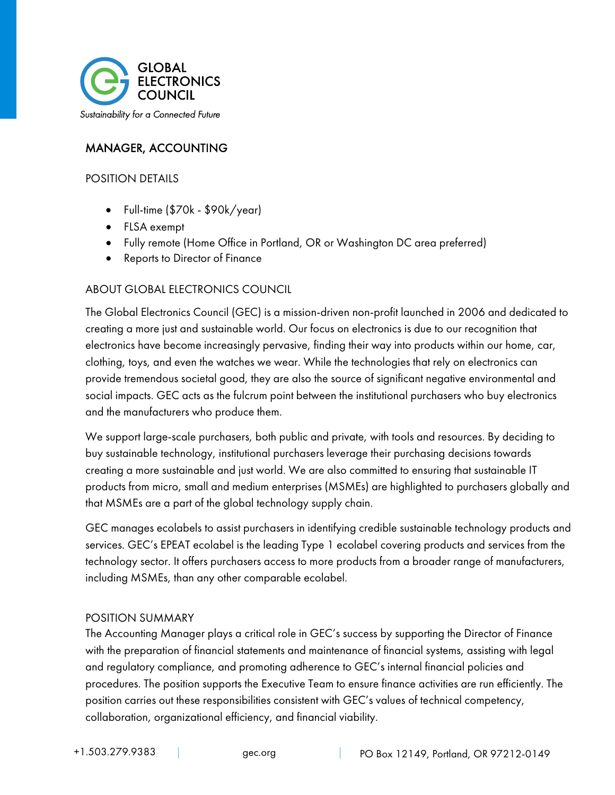

# MANAGER, ACCOUNTING

#### POSITION DETAILS

- Full-time (\$70k \$90k/year)
- FLSA exempt
- Fully remote (Home Office in Portland, OR or Washington DC area preferred)
- Reports to Director of Finance

#### ABOUT GLOBAL ELECTRONICS COUNCIL

The Global Electronics Council (GEC) is a mission-driven non-profit launched in 2006 and dedicated to creating a more just and sustainable world. Our focus on electronics is due to our recognition that electronics have become increasingly pervasive, finding their way into products within our home, car, clothing, toys, and even the watches we wear. While the technologies that rely on electronics can provide tremendous societal good, they are also the source of significant negative environmental and social impacts. GEC acts as the fulcrum point between the institutional purchasers who buy electronics and the manufacturers who produce them.

We support large-scale purchasers, both public and private, with tools and resources. By deciding to buy sustainable technology, institutional purchasers leverage their purchasing decisions towards creating a more sustainable and just world. We are also committed to ensuring that sustainable IT products from micro, small and medium enterprises (MSMEs) are highlighted to purchasers globally and that MSMEs are a part of the global technology supply chain.

GEC manages ecolabels to assist purchasers in identifying credible sustainable technology products and services. GEC's EPEAT ecolabel is the leading Type 1 ecolabel covering products and services from the technology sector. It offers purchasers access to more products from a broader range of manufacturers, including MSMEs, than any other comparable ecolabel.

#### POSITION SUMMARY

The Accounting Manager plays a critical role in GEC's success by supporting the Director of Finance with the preparation of financial statements and maintenance of financial systems, assisting with legal and regulatory compliance, and promoting adherence to GEC's internal financial policies and procedures. The position supports the Executive Team to ensure finance activities are run efficiently. The position carries out these responsibilities consistent with GEC's values of technical competency, collaboration, organizational efficiency, and financial viability.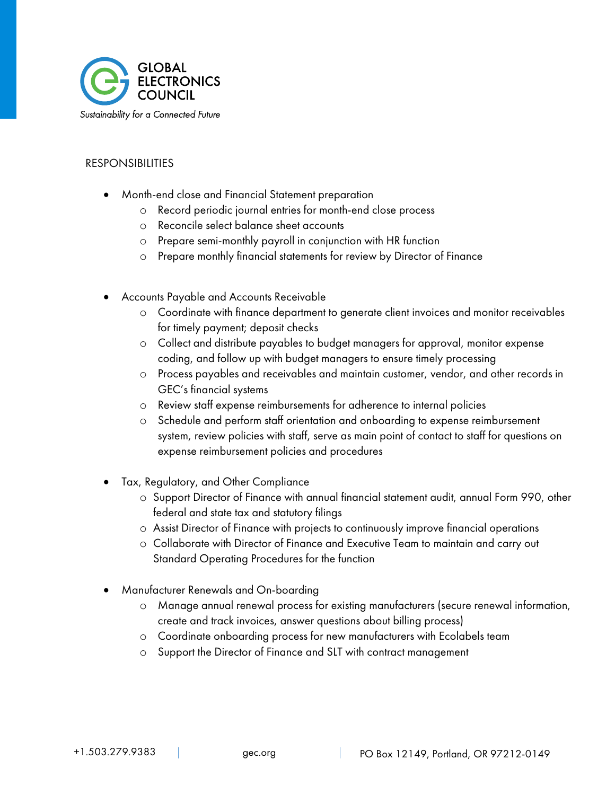

#### RESPONSIBILITIES

- Month-end close and Financial Statement preparation
	- o Record periodic journal entries for month-end close process
	- o Reconcile select balance sheet accounts
	- o Prepare semi-monthly payroll in conjunction with HR function
	- o Prepare monthly financial statements for review by Director of Finance
- Accounts Payable and Accounts Receivable
	- o Coordinate with finance department to generate client invoices and monitor receivables for timely payment; deposit checks
	- o Collect and distribute payables to budget managers for approval, monitor expense coding, and follow up with budget managers to ensure timely processing
	- o Process payables and receivables and maintain customer, vendor, and other records in GEC's financial systems
	- o Review staff expense reimbursements for adherence to internal policies
	- o Schedule and perform staff orientation and onboarding to expense reimbursement system, review policies with staff, serve as main point of contact to staff for questions on expense reimbursement policies and procedures
- Tax, Regulatory, and Other Compliance
	- o Support Director of Finance with annual financial statement audit, annual Form 990, other federal and state tax and statutory filings
	- o Assist Director of Finance with projects to continuously improve financial operations
	- o Collaborate with Director of Finance and Executive Team to maintain and carry out Standard Operating Procedures for the function
- Manufacturer Renewals and On-boarding
	- o Manage annual renewal process for existing manufacturers (secure renewal information, create and track invoices, answer questions about billing process)
	- o Coordinate onboarding process for new manufacturers with Ecolabels team
	- o Support the Director of Finance and SLT with contract management